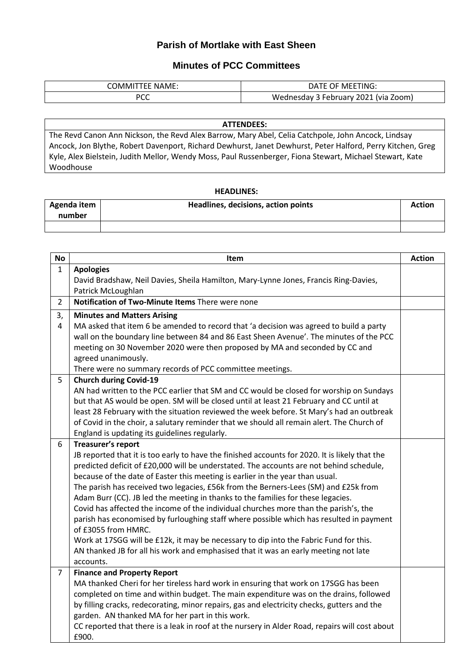## **Parish of Mortlake with East Sheen**

## **Minutes of PCC Committees**

| NAME:<br>UMM⊓∵<br>. | ETING.<br>MFF <sup>-</sup><br>ימכ<br>. )⊩         |
|---------------------|---------------------------------------------------|
| nrr<br>ิ            | 2021<br>Zoom)<br>Wednesday<br>lvia)<br>, February |

## **ATTENDEES:**

The Revd Canon Ann Nickson, the Revd Alex Barrow, Mary Abel, Celia Catchpole, John Ancock, Lindsay Ancock, Jon Blythe, Robert Davenport, Richard Dewhurst, Janet Dewhurst, Peter Halford, Perry Kitchen, Greg Kyle, Alex Bielstein, Judith Mellor, Wendy Moss, Paul Russenberger, Fiona Stewart, Michael Stewart, Kate Woodhouse

## **HEADLINES:**

| Agenda item<br>number | Headlines, decisions, action points | <b>Action</b> |
|-----------------------|-------------------------------------|---------------|
|                       |                                     |               |

| <b>No</b>      | Item                                                                                           | <b>Action</b> |
|----------------|------------------------------------------------------------------------------------------------|---------------|
| $\mathbf{1}$   | <b>Apologies</b>                                                                               |               |
|                | David Bradshaw, Neil Davies, Sheila Hamilton, Mary-Lynne Jones, Francis Ring-Davies,           |               |
|                | Patrick McLoughlan                                                                             |               |
| $\overline{2}$ | Notification of Two-Minute Items There were none                                               |               |
| 3,             | <b>Minutes and Matters Arising</b>                                                             |               |
| 4              | MA asked that item 6 be amended to record that 'a decision was agreed to build a party         |               |
|                | wall on the boundary line between 84 and 86 East Sheen Avenue'. The minutes of the PCC         |               |
|                | meeting on 30 November 2020 were then proposed by MA and seconded by CC and                    |               |
|                | agreed unanimously.                                                                            |               |
|                | There were no summary records of PCC committee meetings.                                       |               |
| 5              | <b>Church during Covid-19</b>                                                                  |               |
|                | AN had written to the PCC earlier that SM and CC would be closed for worship on Sundays        |               |
|                | but that AS would be open. SM will be closed until at least 21 February and CC until at        |               |
|                | least 28 February with the situation reviewed the week before. St Mary's had an outbreak       |               |
|                | of Covid in the choir, a salutary reminder that we should all remain alert. The Church of      |               |
|                | England is updating its guidelines regularly.                                                  |               |
| 6              | Treasurer's report                                                                             |               |
|                | JB reported that it is too early to have the finished accounts for 2020. It is likely that the |               |
|                | predicted deficit of £20,000 will be understated. The accounts are not behind schedule,        |               |
|                | because of the date of Easter this meeting is earlier in the year than usual.                  |               |
|                | The parish has received two legacies, £56k from the Berners-Lees (SM) and £25k from            |               |
|                | Adam Burr (CC). JB led the meeting in thanks to the families for these legacies.               |               |
|                | Covid has affected the income of the individual churches more than the parish's, the           |               |
|                | parish has economised by furloughing staff where possible which has resulted in payment        |               |
|                | of £3055 from HMRC.                                                                            |               |
|                | Work at 17SGG will be £12k, it may be necessary to dip into the Fabric Fund for this.          |               |
|                | AN thanked JB for all his work and emphasised that it was an early meeting not late            |               |
|                | accounts.                                                                                      |               |
| $\overline{7}$ | <b>Finance and Property Report</b>                                                             |               |
|                | MA thanked Cheri for her tireless hard work in ensuring that work on 17SGG has been            |               |
|                | completed on time and within budget. The main expenditure was on the drains, followed          |               |
|                | by filling cracks, redecorating, minor repairs, gas and electricity checks, gutters and the    |               |
|                | garden. AN thanked MA for her part in this work.                                               |               |
|                | CC reported that there is a leak in roof at the nursery in Alder Road, repairs will cost about |               |
|                | £900.                                                                                          |               |